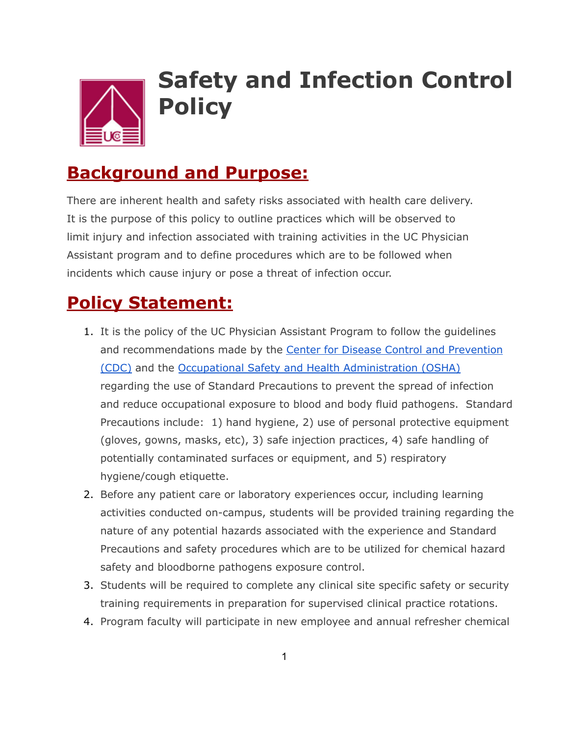

## **Safety and Infection Control Policy**

## **Background and Purpose:**

There are inherent health and safety risks associated with health care delivery. It is the purpose of this policy to outline practices which will be observed to limit injury and infection associated with training activities in the UC Physician Assistant program and to define procedures which are to be followed when incidents which cause injury or pose a threat of infection occur.

## **Policy Statement:**

- 1. It is the policy of the UC Physician Assistant Program to follow the guidelines and recommendations made by the Center for Disease Control and Prevention (CDC) and the Occupational Safety and Health Administration (OSHA) regarding the use of Standard Precautions to prevent the spread of infection and reduce occupational exposure to blood and body fluid pathogens. Standard Precautions include: 1) hand hygiene, 2) use of personal protective equipment (gloves, gowns, masks, etc), 3) safe injection practices, 4) safe handling of potentially contaminated surfaces or equipment, and 5) respiratory hygiene/cough etiquette.
- 2. Before any patient care or laboratory experiences occur, including learning activities conducted on-campus, students will be provided training regarding the nature of any potential hazards associated with the experience and Standard Precautions and safety procedures which are to be utilized for chemical hazard safety and bloodborne pathogens exposure control.
- 3. Students will be required to complete any clinical site specific safety or security training requirements in preparation for supervised clinical practice rotations.
- 4. Program faculty will participate in new employee and annual refresher chemical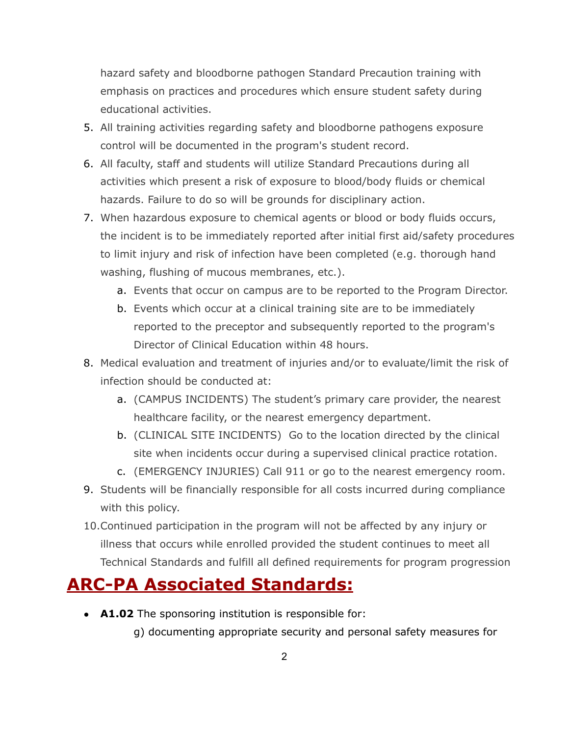hazard safety and bloodborne pathogen Standard Precaution training with emphasis on practices and procedures which ensure student safety during educational activities.

- 5. All training activities regarding safety and bloodborne pathogens exposure control will be documented in the program's student record.
- 6. All faculty, staff and students will utilize Standard Precautions during all activities which present a risk of exposure to blood/body fluids or chemical hazards. Failure to do so will be grounds for disciplinary action.
- 7. When hazardous exposure to chemical agents or blood or body fluids occurs, the incident is to be immediately reported after initial first aid/safety procedures to limit injury and risk of infection have been completed (e.g. thorough hand washing, flushing of mucous membranes, etc.).
	- a. Events that occur on campus are to be reported to the Program Director.
	- b. Events which occur at a clinical training site are to be immediately reported to the preceptor and subsequently reported to the program's Director of Clinical Education within 48 hours.
- 8. Medical evaluation and treatment of injuries and/or to evaluate/limit the risk of infection should be conducted at:
	- a. (CAMPUS INCIDENTS) The student's primary care provider, the nearest healthcare facility, or the nearest emergency department.
	- b. (CLINICAL SITE INCIDENTS) Go to the location directed by the clinical site when incidents occur during a supervised clinical practice rotation.
	- c. (EMERGENCY INJURIES) Call 911 or go to the nearest emergency room.
- 9. Students will be financially responsible for all costs incurred during compliance with this policy.
- 10.Continued participation in the program will not be affected by any injury or illness that occurs while enrolled provided the student continues to meet all Technical Standards and fulfill all defined requirements for program progression

## **ARC-PA Associated Standards:**

• **A1.02** The sponsoring institution is responsible for:

g) documenting appropriate security and personal safety measures for